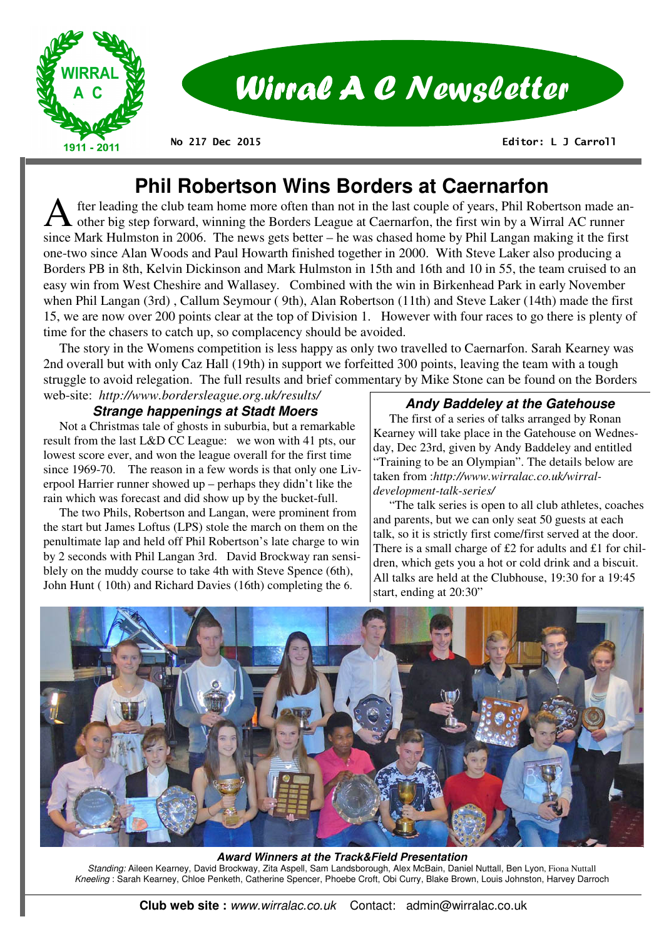

# Wirral A C Newsletter

**No 217 Dec 2015** 

 **Editor: L J Carroll** 

## **Phil Robertson Wins Borders at Caernarfon**

fter leading the club team home more often than not in the last couple of years, Phil Robertson made another big step forward, winning the Borders League at Caernarfon, the first win by a Wirral AC runner since Mark Hulmston in 2006. The news gets better – he was chased home by Phil Langan making it the first one-two since Alan Woods and Paul Howarth finished together in 2000. With Steve Laker also producing a Borders PB in 8th, Kelvin Dickinson and Mark Hulmston in 15th and 16th and 10 in 55, the team cruised to an easy win from West Cheshire and Wallasey. Combined with the win in Birkenhead Park in early November when Phil Langan (3rd) , Callum Seymour ( 9th), Alan Robertson (11th) and Steve Laker (14th) made the first 15, we are now over 200 points clear at the top of Division 1. However with four races to go there is plenty of time for the chasers to catch up, so complacency should be avoided.

 The story in the Womens competition is less happy as only two travelled to Caernarfon. Sarah Kearney was 2nd overall but with only Caz Hall (19th) in support we forfeitted 300 points, leaving the team with a tough struggle to avoid relegation. The full results and brief commentary by Mike Stone can be found on the Borders web-site: *http://www.bordersleague.org.uk/results/* 

#### **Strange happenings at Stadt Moers**

 Not a Christmas tale of ghosts in suburbia, but a remarkable result from the last L&D CC League: we won with 41 pts, our lowest score ever, and won the league overall for the first time since 1969-70. The reason in a few words is that only one Liverpool Harrier runner showed up – perhaps they didn't like the rain which was forecast and did show up by the bucket-full.

 The two Phils, Robertson and Langan, were prominent from the start but James Loftus (LPS) stole the march on them on the penultimate lap and held off Phil Robertson's late charge to win by 2 seconds with Phil Langan 3rd. David Brockway ran sensiblely on the muddy course to take 4th with Steve Spence (6th), John Hunt ( 10th) and Richard Davies (16th) completing the 6.

#### **Andy Baddeley at the Gatehouse**

 The first of a series of talks arranged by Ronan Kearney will take place in the Gatehouse on Wednesday, Dec 23rd, given by Andy Baddeley and entitled "Training to be an Olympian". The details below are taken from :*http://www.wirralac.co.uk/wirraldevelopment-talk-series/* 

 "The talk series is open to all club athletes, coaches and parents, but we can only seat 50 guests at each talk, so it is strictly first come/first served at the door. There is a small charge of £2 for adults and £1 for children, which gets you a hot or cold drink and a biscuit. All talks are held at the Clubhouse, 19:30 for a 19:45 start, ending at 20:30"



**Award Winners at the Track&Field Presentation**  *Standing:* Aileen Kearney, David Brockway, Zita Aspell, Sam Landsborough, Alex McBain, Daniel Nuttall, Ben Lyon, Fiona Nuttall *Kneeling* : Sarah Kearney, Chloe Penketh, Catherine Spencer, Phoebe Croft, Obi Curry, Blake Brown, Louis Johnston, Harvey Darroch